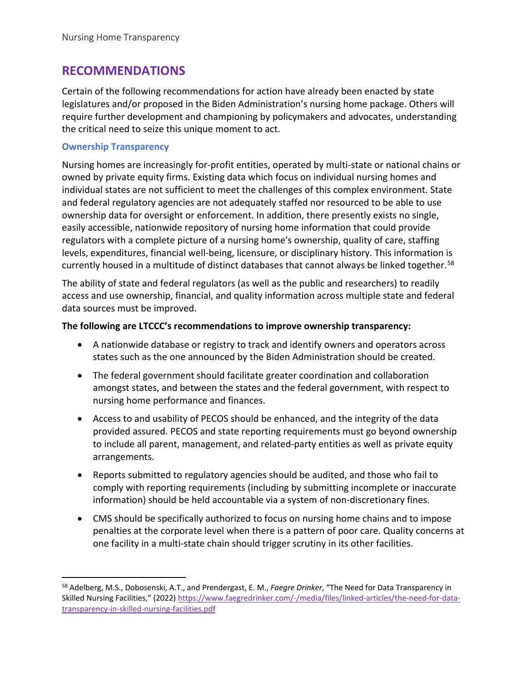# **RECOMMENDATIONS**

Certain of the following recommendations for action have already been enacted by state legislatures and/or proposed in the Biden Administration's nursing home package. Others will require further development and championing by policymakers and advocates, understanding the critical need to seize this unique moment to act.

#### **Ownership Transparency**

Nursing homes are increasingly for-profit entities, operated by multi-state or national chains or owned by private equity firms. Existing data which focus on individual nursing homes and individual states are not sufficient to meet the challenges of this complex environment. State and federal regulatory agencies are not adequately staffed nor resourced to be able to use ownership data for oversight or enforcement. In addition, there presently exists no single, easily accessible, nationwide repository of nursing home information that could provide regulators with a complete picture of a nursing home's ownership, quality of care, staffing levels, expenditures, financial well-being, licensure, or disciplinary history. This information is currently housed in a multitude of distinct databases that cannot always be linked together.<sup>[58](#page-0-0)</sup>

The ability of state and federal regulators (as well as the public and researchers) to readily access and use ownership, financial, and quality information across multiple state and federal data sources must be improved.

#### **The following are LTCCC's recommendations to improve ownership transparency:**

- A nationwide database or registry to track and identify owners and operators across states such as the one announced by the Biden Administration should be created.
- The federal government should facilitate greater coordination and collaboration amongst states, and between the states and the federal government, with respect to nursing home performance and finances.
- Access to and usability of PECOS should be enhanced, and the integrity of the data provided assured. PECOS and state reporting requirements must go beyond ownership to include all parent, management, and related-party entities as well as private equity arrangements.
- Reports submitted to regulatory agencies should be audited, and those who fail to comply with reporting requirements (including by submitting incomplete or inaccurate information) should be held accountable via a system of non-discretionary fines.
- CMS should be specifically authorized to focus on nursing home chains and to impose penalties at the corporate level when there is a pattern of poor care. Quality concerns at one facility in a multi-state chain should trigger scrutiny in its other facilities.

<span id="page-0-0"></span><sup>58</sup> Adelberg, M.S., Dobosenski, A.T., and Prendergast, E. M., *Faegre Drinker*, "The Need for Data Transparency in Skilled Nursing Facilities," (2022[\) https://www.faegredrinker.com/-/media/files/linked-articles/the-need-for-data](https://www.faegredrinker.com/-/media/files/linked-articles/the-need-for-data-transparency-in-skilled-nursing-facilities.pdf)[transparency-in-skilled-nursing-facilities.pdf](https://www.faegredrinker.com/-/media/files/linked-articles/the-need-for-data-transparency-in-skilled-nursing-facilities.pdf)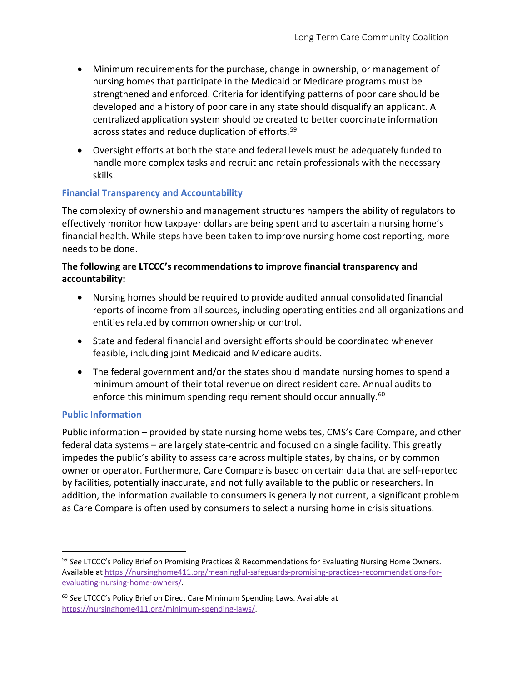- Minimum requirements for the purchase, change in ownership, or management of nursing homes that participate in the Medicaid or Medicare programs must be strengthened and enforced. Criteria for identifying patterns of poor care should be developed and a history of poor care in any state should disqualify an applicant. A centralized application system should be created to better coordinate information across states and reduce duplication of efforts. [59](#page-1-0)
- Oversight efforts at both the state and federal levels must be adequately funded to handle more complex tasks and recruit and retain professionals with the necessary skills.

## **Financial Transparency and Accountability**

The complexity of ownership and management structures hampers the ability of regulators to effectively monitor how taxpayer dollars are being spent and to ascertain a nursing home's financial health. While steps have been taken to improve nursing home cost reporting, more needs to be done.

### **The following are LTCCC's recommendations to improve financial transparency and accountability:**

- Nursing homes should be required to provide audited annual consolidated financial reports of income from all sources, including operating entities and all organizations and entities related by common ownership or control.
- State and federal financial and oversight efforts should be coordinated whenever feasible, including joint Medicaid and Medicare audits.
- The federal government and/or the states should mandate nursing homes to spend a minimum amount of their total revenue on direct resident care. Annual audits to enforce this minimum spending requirement should occur annually.<sup>[60](#page-1-1)</sup>

#### **Public Information**

Public information – provided by state nursing home websites, CMS's Care Compare, and other federal data systems – are largely state-centric and focused on a single facility. This greatly impedes the public's ability to assess care across multiple states, by chains, or by common owner or operator. Furthermore, Care Compare is based on certain data that are self-reported by facilities, potentially inaccurate, and not fully available to the public or researchers. In addition, the information available to consumers is generally not current, a significant problem as Care Compare is often used by consumers to select a nursing home in crisis situations.

<span id="page-1-0"></span><sup>59</sup> *See* LTCCC's Policy Brief on Promising Practices & Recommendations for Evaluating Nursing Home Owners. Available a[t https://nursinghome411.org/meaningful-safeguards-promising-practices-recommendations-for](https://nursinghome411.org/meaningful-safeguards-promising-practices-recommendations-for-evaluating-nursing-home-owners/)[evaluating-nursing-home-owners/.](https://nursinghome411.org/meaningful-safeguards-promising-practices-recommendations-for-evaluating-nursing-home-owners/)

<span id="page-1-1"></span><sup>60</sup> *See* LTCCC's Policy Brief on Direct Care Minimum Spending Laws. Available at [https://nursinghome411.org/minimum-spending-laws/.](https://nursinghome411.org/minimum-spending-laws/)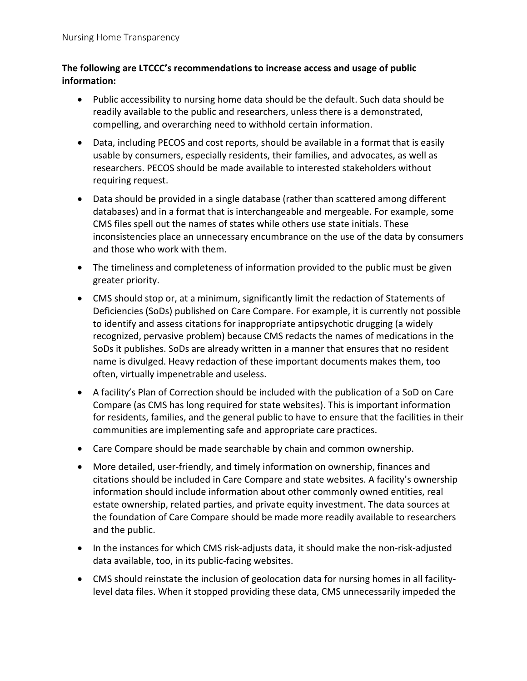## **The following are LTCCC's recommendations to increase access and usage of public information:**

- Public accessibility to nursing home data should be the default. Such data should be readily available to the public and researchers, unless there is a demonstrated, compelling, and overarching need to withhold certain information.
- Data, including PECOS and cost reports, should be available in a format that is easily usable by consumers, especially residents, their families, and advocates, as well as researchers. PECOS should be made available to interested stakeholders without requiring request.
- Data should be provided in a single database (rather than scattered among different databases) and in a format that is interchangeable and mergeable. For example, some CMS files spell out the names of states while others use state initials. These inconsistencies place an unnecessary encumbrance on the use of the data by consumers and those who work with them.
- The timeliness and completeness of information provided to the public must be given greater priority.
- CMS should stop or, at a minimum, significantly limit the redaction of Statements of Deficiencies (SoDs) published on Care Compare. For example, it is currently not possible to identify and assess citations for inappropriate antipsychotic drugging (a widely recognized, pervasive problem) because CMS redacts the names of medications in the SoDs it publishes. SoDs are already written in a manner that ensures that no resident name is divulged. Heavy redaction of these important documents makes them, too often, virtually impenetrable and useless.
- A facility's Plan of Correction should be included with the publication of a SoD on Care Compare (as CMS has long required for state websites). This is important information for residents, families, and the general public to have to ensure that the facilities in their communities are implementing safe and appropriate care practices.
- Care Compare should be made searchable by chain and common ownership.
- More detailed, user-friendly, and timely information on ownership, finances and citations should be included in Care Compare and state websites. A facility's ownership information should include information about other commonly owned entities, real estate ownership, related parties, and private equity investment. The data sources at the foundation of Care Compare should be made more readily available to researchers and the public.
- In the instances for which CMS risk-adjusts data, it should make the non-risk-adjusted data available, too, in its public-facing websites.
- CMS should reinstate the inclusion of geolocation data for nursing homes in all facilitylevel data files. When it stopped providing these data, CMS unnecessarily impeded the